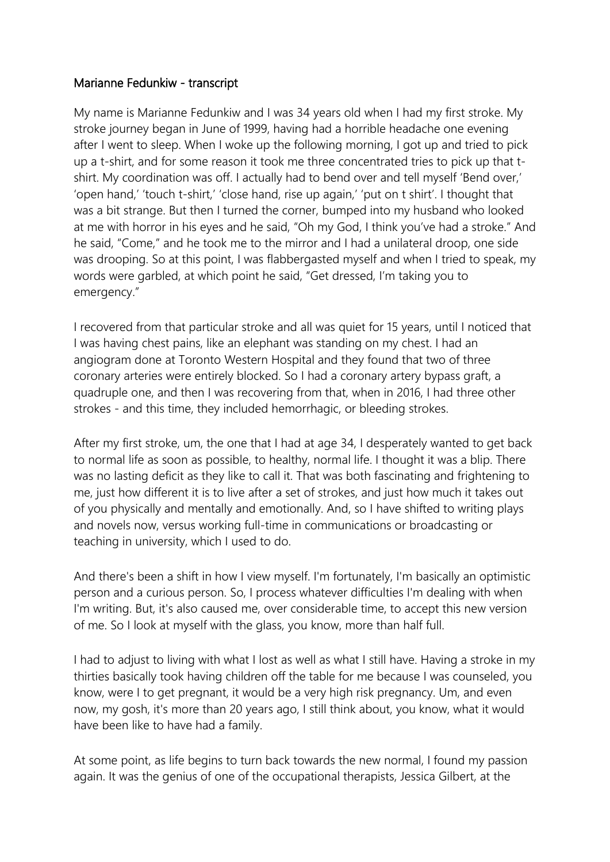## Marianne Fedunkiw - transcript

My name is Marianne Fedunkiw and I was 34 years old when I had my first stroke. My stroke journey began in June of 1999, having had a horrible headache one evening after I went to sleep. When I woke up the following morning, I got up and tried to pick up a t-shirt, and for some reason it took me three concentrated tries to pick up that tshirt. My coordination was off. I actually had to bend over and tell myself 'Bend over,' 'open hand,' 'touch t-shirt,' 'close hand, rise up again,' 'put on t shirt'. I thought that was a bit strange. But then I turned the corner, bumped into my husband who looked at me with horror in his eyes and he said, "Oh my God, I think you've had a stroke." And he said, "Come," and he took me to the mirror and I had a unilateral droop, one side was drooping. So at this point, I was flabbergasted myself and when I tried to speak, my words were garbled, at which point he said, "Get dressed, I'm taking you to emergency."

I recovered from that particular stroke and all was quiet for 15 years, until I noticed that I was having chest pains, like an elephant was standing on my chest. I had an angiogram done at Toronto Western Hospital and they found that two of three coronary arteries were entirely blocked. So I had a coronary artery bypass graft, a quadruple one, and then I was recovering from that, when in 2016, I had three other strokes - and this time, they included hemorrhagic, or bleeding strokes.

After my first stroke, um, the one that I had at age 34, I desperately wanted to get back to normal life as soon as possible, to healthy, normal life. I thought it was a blip. There was no lasting deficit as they like to call it. That was both fascinating and frightening to me, just how different it is to live after a set of strokes, and just how much it takes out of you physically and mentally and emotionally. And, so I have shifted to writing plays and novels now, versus working full-time in communications or broadcasting or teaching in university, which I used to do.

And there's been a shift in how I view myself. I'm fortunately, I'm basically an optimistic person and a curious person. So, I process whatever difficulties I'm dealing with when I'm writing. But, it's also caused me, over considerable time, to accept this new version of me. So I look at myself with the glass, you know, more than half full.

I had to adjust to living with what I lost as well as what I still have. Having a stroke in my thirties basically took having children off the table for me because I was counseled, you know, were I to get pregnant, it would be a very high risk pregnancy. Um, and even now, my gosh, it's more than 20 years ago, I still think about, you know, what it would have been like to have had a family.

At some point, as life begins to turn back towards the new normal, I found my passion again. It was the genius of one of the occupational therapists, Jessica Gilbert, at the